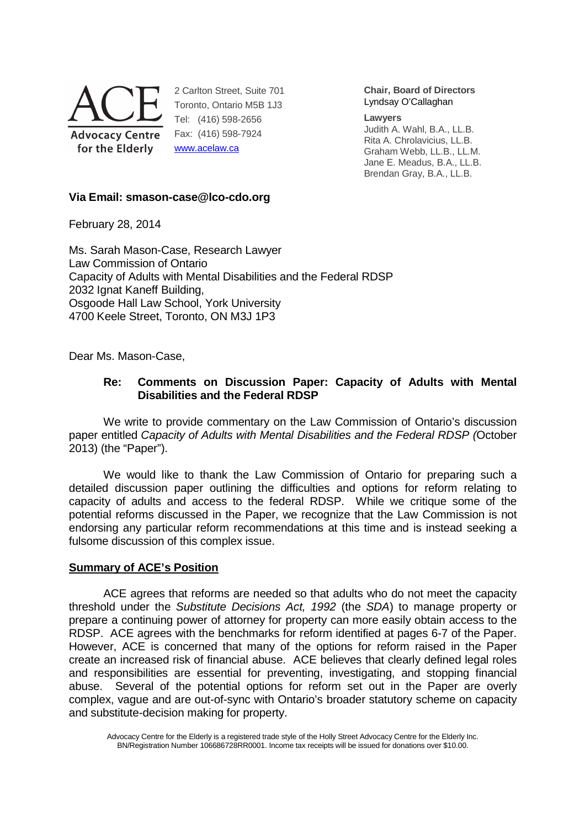

2 Carlton Street, Suite 701 Toronto, Ontario M5B 1J3 Tel: (416) 598-2656 Fax: (416) 598-7924 www.acelaw.ca

**Chair, Board of Directors** Lyndsay O'Callaghan

#### **Lawyers**

Judith A. Wahl, B.A., LL.B. Rita A. Chrolavicius, LL.B. Graham Webb, LL.B., LL.M. Jane E. Meadus, B.A., LL.B. Brendan Gray, B.A., LL.B.

# **Via Email: smason-case@lco-cdo.org**

February 28, 2014

Ms. Sarah Mason-Case, Research Lawyer Law Commission of Ontario Capacity of Adults with Mental Disabilities and the Federal RDSP 2032 Ignat Kaneff Building, Osgoode Hall Law School, York University 4700 Keele Street, Toronto, ON M3J 1P3

Dear Ms. Mason-Case,

# **Re: Comments on Discussion Paper: Capacity of Adults with Mental Disabilities and the Federal RDSP**

We write to provide commentary on the Law Commission of Ontario's discussion paper entitled Capacity of Adults with Mental Disabilities and the Federal RDSP (October 2013) (the "Paper").

We would like to thank the Law Commission of Ontario for preparing such a detailed discussion paper outlining the difficulties and options for reform relating to capacity of adults and access to the federal RDSP. While we critique some of the potential reforms discussed in the Paper, we recognize that the Law Commission is not endorsing any particular reform recommendations at this time and is instead seeking a fulsome discussion of this complex issue.

## **Summary of ACE's Position**

ACE agrees that reforms are needed so that adults who do not meet the capacity threshold under the Substitute Decisions Act, 1992 (the SDA) to manage property or prepare a continuing power of attorney for property can more easily obtain access to the RDSP. ACE agrees with the benchmarks for reform identified at pages 6-7 of the Paper. However, ACE is concerned that many of the options for reform raised in the Paper create an increased risk of financial abuse. ACE believes that clearly defined legal roles and responsibilities are essential for preventing, investigating, and stopping financial abuse. Several of the potential options for reform set out in the Paper are overly complex, vague and are out-of-sync with Ontario's broader statutory scheme on capacity and substitute-decision making for property.

Advocacy Centre for the Elderly is a registered trade style of the Holly Street Advocacy Centre for the Elderly Inc. BN/Registration Number 106686728RR0001. Income tax receipts will be issued for donations over \$10.00.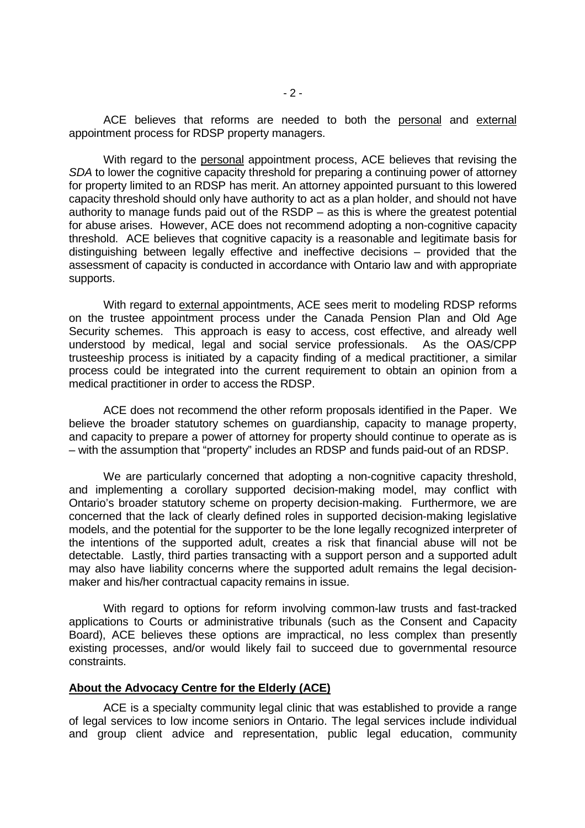ACE believes that reforms are needed to both the personal and external appointment process for RDSP property managers.

With regard to the personal appointment process, ACE believes that revising the SDA to lower the cognitive capacity threshold for preparing a continuing power of attorney for property limited to an RDSP has merit. An attorney appointed pursuant to this lowered capacity threshold should only have authority to act as a plan holder, and should not have authority to manage funds paid out of the RSDP – as this is where the greatest potential for abuse arises. However, ACE does not recommend adopting a non-cognitive capacity threshold. ACE believes that cognitive capacity is a reasonable and legitimate basis for distinguishing between legally effective and ineffective decisions – provided that the assessment of capacity is conducted in accordance with Ontario law and with appropriate supports.

With regard to external appointments, ACE sees merit to modeling RDSP reforms on the trustee appointment process under the Canada Pension Plan and Old Age Security schemes. This approach is easy to access, cost effective, and already well understood by medical, legal and social service professionals. As the OAS/CPP trusteeship process is initiated by a capacity finding of a medical practitioner, a similar process could be integrated into the current requirement to obtain an opinion from a medical practitioner in order to access the RDSP.

 ACE does not recommend the other reform proposals identified in the Paper. We believe the broader statutory schemes on guardianship, capacity to manage property, and capacity to prepare a power of attorney for property should continue to operate as is – with the assumption that "property" includes an RDSP and funds paid-out of an RDSP.

We are particularly concerned that adopting a non-cognitive capacity threshold, and implementing a corollary supported decision-making model, may conflict with Ontario's broader statutory scheme on property decision-making. Furthermore, we are concerned that the lack of clearly defined roles in supported decision-making legislative models, and the potential for the supporter to be the lone legally recognized interpreter of the intentions of the supported adult, creates a risk that financial abuse will not be detectable. Lastly, third parties transacting with a support person and a supported adult may also have liability concerns where the supported adult remains the legal decisionmaker and his/her contractual capacity remains in issue.

With regard to options for reform involving common-law trusts and fast-tracked applications to Courts or administrative tribunals (such as the Consent and Capacity Board), ACE believes these options are impractical, no less complex than presently existing processes, and/or would likely fail to succeed due to governmental resource constraints.

### **About the Advocacy Centre for the Elderly (ACE)**

ACE is a specialty community legal clinic that was established to provide a range of legal services to low income seniors in Ontario. The legal services include individual and group client advice and representation, public legal education, community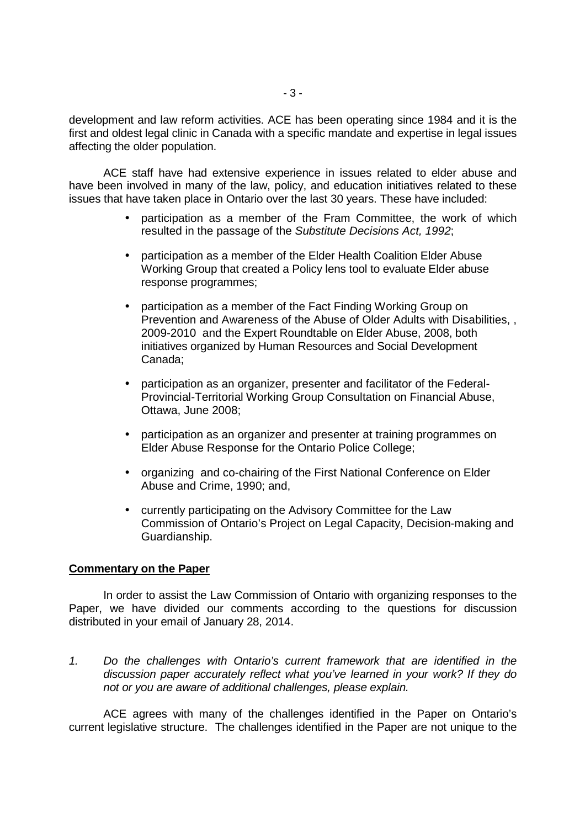development and law reform activities. ACE has been operating since 1984 and it is the first and oldest legal clinic in Canada with a specific mandate and expertise in legal issues affecting the older population.

ACE staff have had extensive experience in issues related to elder abuse and have been involved in many of the law, policy, and education initiatives related to these issues that have taken place in Ontario over the last 30 years. These have included:

- participation as a member of the Fram Committee, the work of which resulted in the passage of the Substitute Decisions Act, 1992;
- participation as a member of the Elder Health Coalition Elder Abuse Working Group that created a Policy lens tool to evaluate Elder abuse response programmes;
- participation as a member of the Fact Finding Working Group on Prevention and Awareness of the Abuse of Older Adults with Disabilities, , 2009-2010 and the Expert Roundtable on Elder Abuse, 2008, both initiatives organized by Human Resources and Social Development Canada;
- participation as an organizer, presenter and facilitator of the Federal-Provincial-Territorial Working Group Consultation on Financial Abuse, Ottawa, June 2008;
- participation as an organizer and presenter at training programmes on Elder Abuse Response for the Ontario Police College;
- organizing and co-chairing of the First National Conference on Elder Abuse and Crime, 1990; and,
- currently participating on the Advisory Committee for the Law Commission of Ontario's Project on Legal Capacity, Decision-making and Guardianship.

## **Commentary on the Paper**

 In order to assist the Law Commission of Ontario with organizing responses to the Paper, we have divided our comments according to the questions for discussion distributed in your email of January 28, 2014.

1. Do the challenges with Ontario's current framework that are identified in the discussion paper accurately reflect what you've learned in your work? If they do not or you are aware of additional challenges, please explain.

ACE agrees with many of the challenges identified in the Paper on Ontario's current legislative structure. The challenges identified in the Paper are not unique to the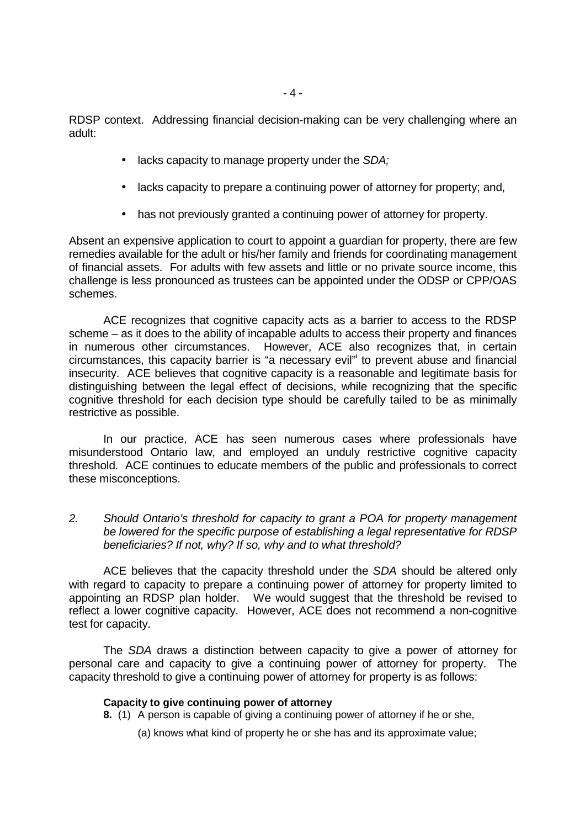RDSP context. Addressing financial decision-making can be very challenging where an adult:

- lacks capacity to manage property under the SDA;
- lacks capacity to prepare a continuing power of attorney for property; and,
- has not previously granted a continuing power of attorney for property.

Absent an expensive application to court to appoint a guardian for property, there are few remedies available for the adult or his/her family and friends for coordinating management of financial assets. For adults with few assets and little or no private source income, this challenge is less pronounced as trustees can be appointed under the ODSP or CPP/OAS schemes.

 ACE recognizes that cognitive capacity acts as a barrier to access to the RDSP scheme – as it does to the ability of incapable adults to access their property and finances in numerous other circumstances. However, ACE also recognizes that, in certain circumstances, this capacity barrier is "a necessary evil"<sup>i</sup> to prevent abuse and financial insecurity. ACE believes that cognitive capacity is a reasonable and legitimate basis for distinguishing between the legal effect of decisions, while recognizing that the specific cognitive threshold for each decision type should be carefully tailed to be as minimally restrictive as possible.

In our practice, ACE has seen numerous cases where professionals have misunderstood Ontario law, and employed an unduly restrictive cognitive capacity threshold. ACE continues to educate members of the public and professionals to correct these misconceptions.

2. Should Ontario's threshold for capacity to grant a POA for property management be lowered for the specific purpose of establishing a legal representative for RDSP beneficiaries? If not, why? If so, why and to what threshold?

 ACE believes that the capacity threshold under the SDA should be altered only with regard to capacity to prepare a continuing power of attorney for property limited to appointing an RDSP plan holder. We would suggest that the threshold be revised to reflect a lower cognitive capacity. However, ACE does not recommend a non-cognitive test for capacity.

 The SDA draws a distinction between capacity to give a power of attorney for personal care and capacity to give a continuing power of attorney for property. The capacity threshold to give a continuing power of attorney for property is as follows:

### **Capacity to give continuing power of attorney**

- **8.** (1) A person is capable of giving a continuing power of attorney if he or she,
	- (a) knows what kind of property he or she has and its approximate value;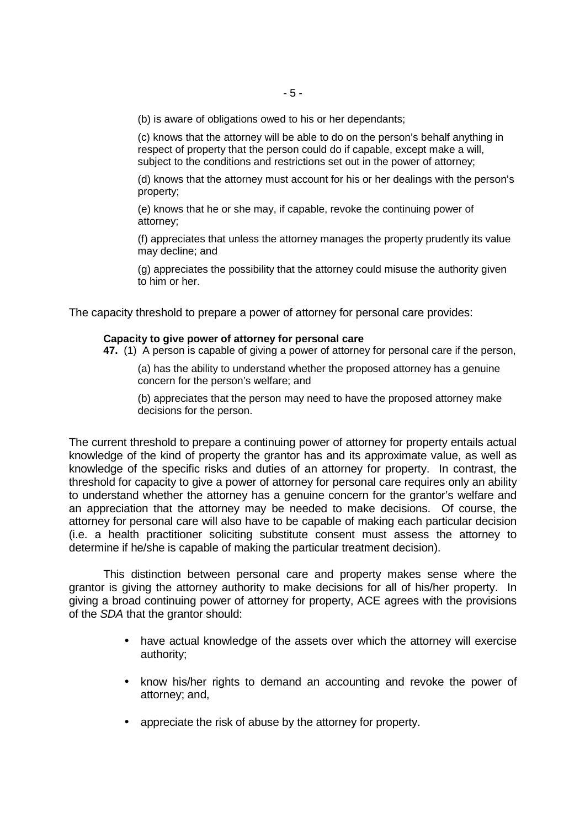(b) is aware of obligations owed to his or her dependants;

(c) knows that the attorney will be able to do on the person's behalf anything in respect of property that the person could do if capable, except make a will, subject to the conditions and restrictions set out in the power of attorney;

(d) knows that the attorney must account for his or her dealings with the person's property;

(e) knows that he or she may, if capable, revoke the continuing power of attorney;

(f) appreciates that unless the attorney manages the property prudently its value may decline; and

(g) appreciates the possibility that the attorney could misuse the authority given to him or her.

The capacity threshold to prepare a power of attorney for personal care provides:

### **Capacity to give power of attorney for personal care**

**47.** (1) A person is capable of giving a power of attorney for personal care if the person,

(a) has the ability to understand whether the proposed attorney has a genuine concern for the person's welfare; and

(b) appreciates that the person may need to have the proposed attorney make decisions for the person.

The current threshold to prepare a continuing power of attorney for property entails actual knowledge of the kind of property the grantor has and its approximate value, as well as knowledge of the specific risks and duties of an attorney for property. In contrast, the threshold for capacity to give a power of attorney for personal care requires only an ability to understand whether the attorney has a genuine concern for the grantor's welfare and an appreciation that the attorney may be needed to make decisions. Of course, the attorney for personal care will also have to be capable of making each particular decision (i.e. a health practitioner soliciting substitute consent must assess the attorney to determine if he/she is capable of making the particular treatment decision).

This distinction between personal care and property makes sense where the grantor is giving the attorney authority to make decisions for all of his/her property. In giving a broad continuing power of attorney for property, ACE agrees with the provisions of the SDA that the grantor should:

- have actual knowledge of the assets over which the attorney will exercise authority;
- know his/her rights to demand an accounting and revoke the power of attorney; and,
- appreciate the risk of abuse by the attorney for property.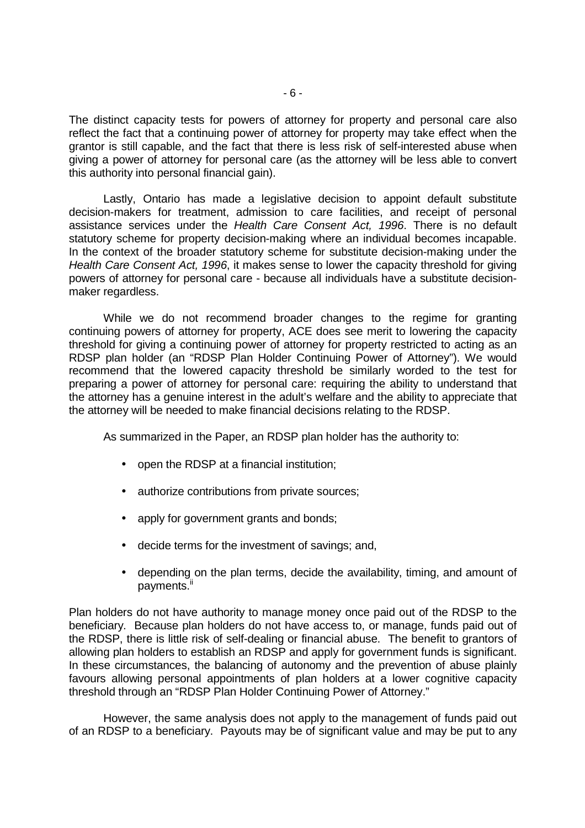The distinct capacity tests for powers of attorney for property and personal care also reflect the fact that a continuing power of attorney for property may take effect when the grantor is still capable, and the fact that there is less risk of self-interested abuse when giving a power of attorney for personal care (as the attorney will be less able to convert this authority into personal financial gain).

Lastly, Ontario has made a legislative decision to appoint default substitute decision-makers for treatment, admission to care facilities, and receipt of personal assistance services under the Health Care Consent Act, 1996. There is no default statutory scheme for property decision-making where an individual becomes incapable. In the context of the broader statutory scheme for substitute decision-making under the Health Care Consent Act, 1996, it makes sense to lower the capacity threshold for giving powers of attorney for personal care - because all individuals have a substitute decisionmaker regardless.

 While we do not recommend broader changes to the regime for granting continuing powers of attorney for property, ACE does see merit to lowering the capacity threshold for giving a continuing power of attorney for property restricted to acting as an RDSP plan holder (an "RDSP Plan Holder Continuing Power of Attorney"). We would recommend that the lowered capacity threshold be similarly worded to the test for preparing a power of attorney for personal care: requiring the ability to understand that the attorney has a genuine interest in the adult's welfare and the ability to appreciate that the attorney will be needed to make financial decisions relating to the RDSP.

As summarized in the Paper, an RDSP plan holder has the authority to:

- open the RDSP at a financial institution;
- authorize contributions from private sources;
- apply for government grants and bonds;
- decide terms for the investment of savings; and,
- depending on the plan terms, decide the availability, timing, and amount of payments.<sup>ii</sup>

Plan holders do not have authority to manage money once paid out of the RDSP to the beneficiary. Because plan holders do not have access to, or manage, funds paid out of the RDSP, there is little risk of self-dealing or financial abuse. The benefit to grantors of allowing plan holders to establish an RDSP and apply for government funds is significant. In these circumstances, the balancing of autonomy and the prevention of abuse plainly favours allowing personal appointments of plan holders at a lower cognitive capacity threshold through an "RDSP Plan Holder Continuing Power of Attorney."

However, the same analysis does not apply to the management of funds paid out of an RDSP to a beneficiary. Payouts may be of significant value and may be put to any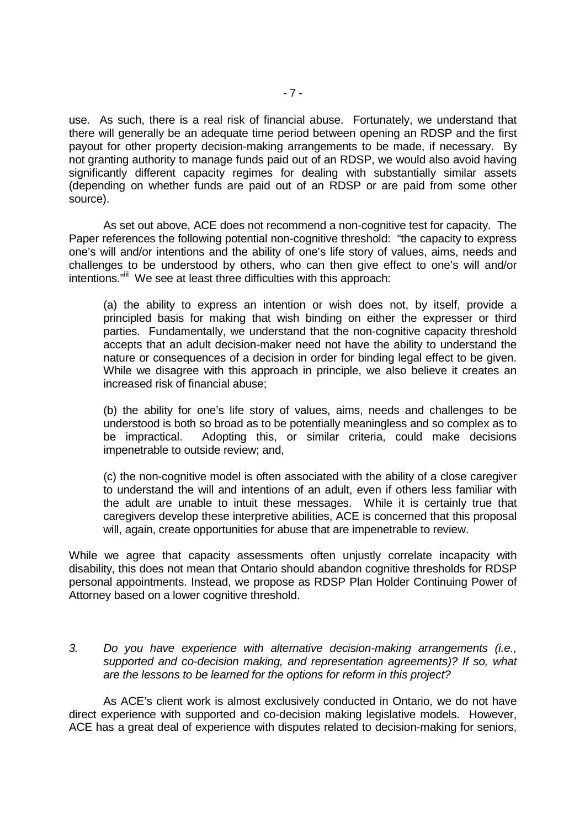use. As such, there is a real risk of financial abuse. Fortunately, we understand that there will generally be an adequate time period between opening an RDSP and the first payout for other property decision-making arrangements to be made, if necessary. By not granting authority to manage funds paid out of an RDSP, we would also avoid having significantly different capacity regimes for dealing with substantially similar assets (depending on whether funds are paid out of an RDSP or are paid from some other source).

As set out above, ACE does not recommend a non-cognitive test for capacity. The Paper references the following potential non-cognitive threshold: "the capacity to express one's will and/or intentions and the ability of one's life story of values, aims, needs and challenges to be understood by others, who can then give effect to one's will and/or intentions."<sup>iii</sup> We see at least three difficulties with this approach:

(a) the ability to express an intention or wish does not, by itself, provide a principled basis for making that wish binding on either the expresser or third parties. Fundamentally, we understand that the non-cognitive capacity threshold accepts that an adult decision-maker need not have the ability to understand the nature or consequences of a decision in order for binding legal effect to be given. While we disagree with this approach in principle, we also believe it creates an increased risk of financial abuse;

(b) the ability for one's life story of values, aims, needs and challenges to be understood is both so broad as to be potentially meaningless and so complex as to be impractical. Adopting this, or similar criteria, could make decisions impenetrable to outside review; and,

(c) the non-cognitive model is often associated with the ability of a close caregiver to understand the will and intentions of an adult, even if others less familiar with the adult are unable to intuit these messages. While it is certainly true that caregivers develop these interpretive abilities, ACE is concerned that this proposal will, again, create opportunities for abuse that are impenetrable to review.

While we agree that capacity assessments often unjustly correlate incapacity with disability, this does not mean that Ontario should abandon cognitive thresholds for RDSP personal appointments. Instead, we propose as RDSP Plan Holder Continuing Power of Attorney based on a lower cognitive threshold.

3. Do you have experience with alternative decision-making arrangements (i.e., supported and co-decision making, and representation agreements)? If so, what are the lessons to be learned for the options for reform in this project?

 As ACE's client work is almost exclusively conducted in Ontario, we do not have direct experience with supported and co-decision making legislative models. However, ACE has a great deal of experience with disputes related to decision-making for seniors,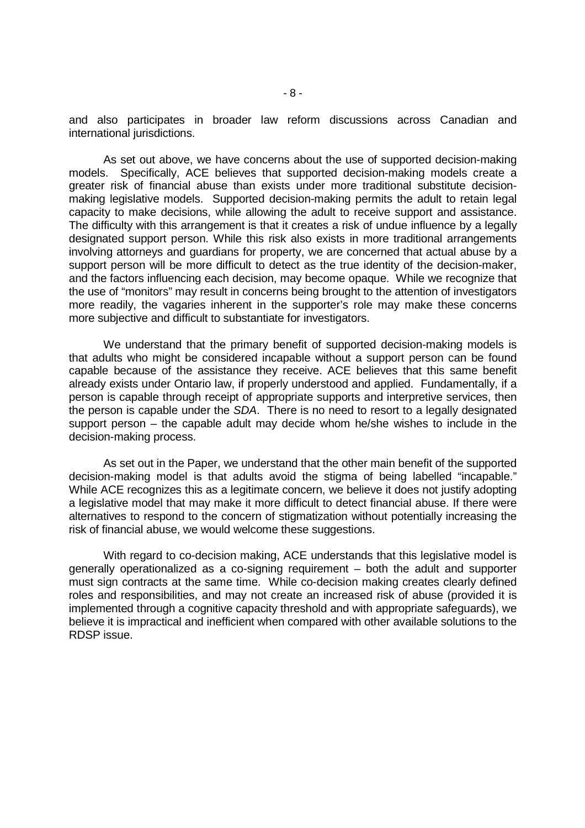and also participates in broader law reform discussions across Canadian and international jurisdictions.

As set out above, we have concerns about the use of supported decision-making models. Specifically, ACE believes that supported decision-making models create a greater risk of financial abuse than exists under more traditional substitute decisionmaking legislative models. Supported decision-making permits the adult to retain legal capacity to make decisions, while allowing the adult to receive support and assistance. The difficulty with this arrangement is that it creates a risk of undue influence by a legally designated support person. While this risk also exists in more traditional arrangements involving attorneys and guardians for property, we are concerned that actual abuse by a support person will be more difficult to detect as the true identity of the decision-maker, and the factors influencing each decision, may become opaque. While we recognize that the use of "monitors" may result in concerns being brought to the attention of investigators more readily, the vagaries inherent in the supporter's role may make these concerns more subjective and difficult to substantiate for investigators.

We understand that the primary benefit of supported decision-making models is that adults who might be considered incapable without a support person can be found capable because of the assistance they receive. ACE believes that this same benefit already exists under Ontario law, if properly understood and applied. Fundamentally, if a person is capable through receipt of appropriate supports and interpretive services, then the person is capable under the SDA. There is no need to resort to a legally designated support person – the capable adult may decide whom he/she wishes to include in the decision-making process.

As set out in the Paper, we understand that the other main benefit of the supported decision-making model is that adults avoid the stigma of being labelled "incapable." While ACE recognizes this as a legitimate concern, we believe it does not justify adopting a legislative model that may make it more difficult to detect financial abuse. If there were alternatives to respond to the concern of stigmatization without potentially increasing the risk of financial abuse, we would welcome these suggestions.

 With regard to co-decision making, ACE understands that this legislative model is generally operationalized as a co-signing requirement – both the adult and supporter must sign contracts at the same time. While co-decision making creates clearly defined roles and responsibilities, and may not create an increased risk of abuse (provided it is implemented through a cognitive capacity threshold and with appropriate safeguards), we believe it is impractical and inefficient when compared with other available solutions to the RDSP issue.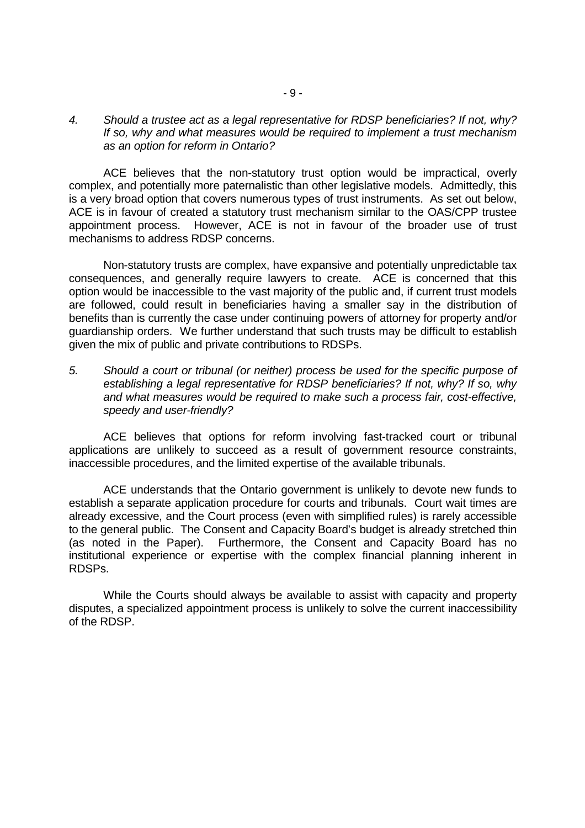4. Should a trustee act as a legal representative for RDSP beneficiaries? If not, why? If so, why and what measures would be required to implement a trust mechanism as an option for reform in Ontario?

 ACE believes that the non-statutory trust option would be impractical, overly complex, and potentially more paternalistic than other legislative models. Admittedly, this is a very broad option that covers numerous types of trust instruments. As set out below, ACE is in favour of created a statutory trust mechanism similar to the OAS/CPP trustee appointment process. However, ACE is not in favour of the broader use of trust mechanisms to address RDSP concerns.

 Non-statutory trusts are complex, have expansive and potentially unpredictable tax consequences, and generally require lawyers to create. ACE is concerned that this option would be inaccessible to the vast majority of the public and, if current trust models are followed, could result in beneficiaries having a smaller say in the distribution of benefits than is currently the case under continuing powers of attorney for property and/or guardianship orders. We further understand that such trusts may be difficult to establish given the mix of public and private contributions to RDSPs.

5. Should a court or tribunal (or neither) process be used for the specific purpose of establishing a legal representative for RDSP beneficiaries? If not, why? If so, why and what measures would be required to make such a process fair, cost-effective, speedy and user-friendly?

ACE believes that options for reform involving fast-tracked court or tribunal applications are unlikely to succeed as a result of government resource constraints, inaccessible procedures, and the limited expertise of the available tribunals.

 ACE understands that the Ontario government is unlikely to devote new funds to establish a separate application procedure for courts and tribunals. Court wait times are already excessive, and the Court process (even with simplified rules) is rarely accessible to the general public. The Consent and Capacity Board's budget is already stretched thin (as noted in the Paper). Furthermore, the Consent and Capacity Board has no institutional experience or expertise with the complex financial planning inherent in RDSPs.

While the Courts should always be available to assist with capacity and property disputes, a specialized appointment process is unlikely to solve the current inaccessibility of the RDSP.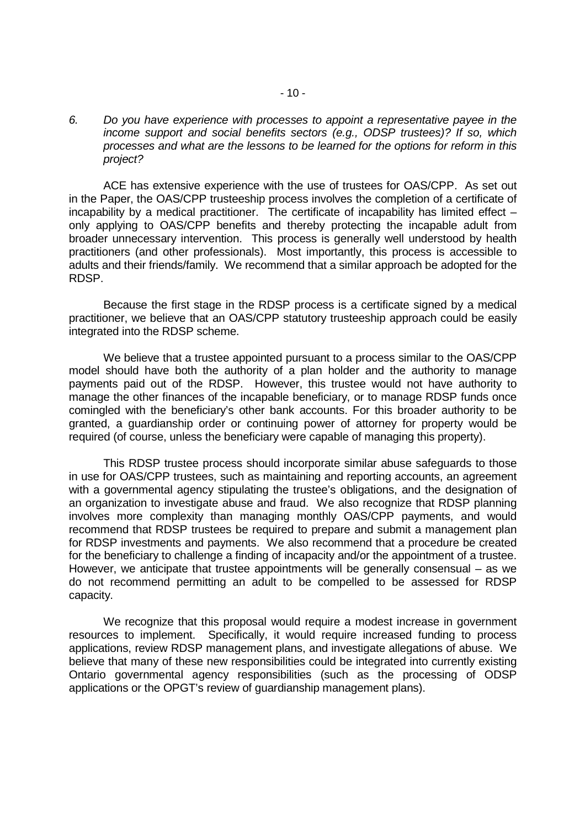6. Do you have experience with processes to appoint a representative payee in the income support and social benefits sectors (e.g., ODSP trustees)? If so, which processes and what are the lessons to be learned for the options for reform in this project?

ACE has extensive experience with the use of trustees for OAS/CPP. As set out in the Paper, the OAS/CPP trusteeship process involves the completion of a certificate of incapability by a medical practitioner. The certificate of incapability has limited effect – only applying to OAS/CPP benefits and thereby protecting the incapable adult from broader unnecessary intervention. This process is generally well understood by health practitioners (and other professionals). Most importantly, this process is accessible to adults and their friends/family. We recommend that a similar approach be adopted for the RDSP.

Because the first stage in the RDSP process is a certificate signed by a medical practitioner, we believe that an OAS/CPP statutory trusteeship approach could be easily integrated into the RDSP scheme.

We believe that a trustee appointed pursuant to a process similar to the OAS/CPP model should have both the authority of a plan holder and the authority to manage payments paid out of the RDSP. However, this trustee would not have authority to manage the other finances of the incapable beneficiary, or to manage RDSP funds once comingled with the beneficiary's other bank accounts. For this broader authority to be granted, a guardianship order or continuing power of attorney for property would be required (of course, unless the beneficiary were capable of managing this property).

This RDSP trustee process should incorporate similar abuse safeguards to those in use for OAS/CPP trustees, such as maintaining and reporting accounts, an agreement with a governmental agency stipulating the trustee's obligations, and the designation of an organization to investigate abuse and fraud. We also recognize that RDSP planning involves more complexity than managing monthly OAS/CPP payments, and would recommend that RDSP trustees be required to prepare and submit a management plan for RDSP investments and payments. We also recommend that a procedure be created for the beneficiary to challenge a finding of incapacity and/or the appointment of a trustee. However, we anticipate that trustee appointments will be generally consensual – as we do not recommend permitting an adult to be compelled to be assessed for RDSP capacity.

We recognize that this proposal would require a modest increase in government resources to implement. Specifically, it would require increased funding to process applications, review RDSP management plans, and investigate allegations of abuse. We believe that many of these new responsibilities could be integrated into currently existing Ontario governmental agency responsibilities (such as the processing of ODSP applications or the OPGT's review of guardianship management plans).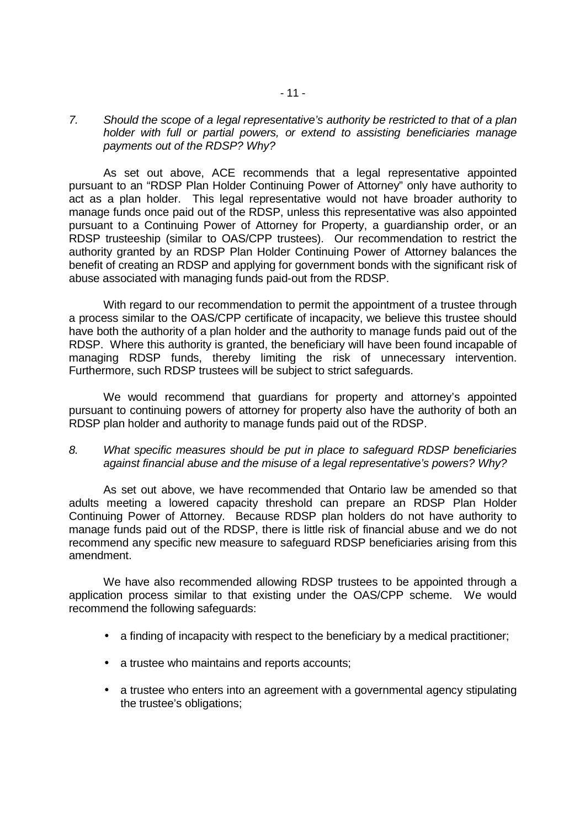### 7. Should the scope of a legal representative's authority be restricted to that of a plan holder with full or partial powers, or extend to assisting beneficiaries manage payments out of the RDSP? Why?

 As set out above, ACE recommends that a legal representative appointed pursuant to an "RDSP Plan Holder Continuing Power of Attorney" only have authority to act as a plan holder. This legal representative would not have broader authority to manage funds once paid out of the RDSP, unless this representative was also appointed pursuant to a Continuing Power of Attorney for Property, a guardianship order, or an RDSP trusteeship (similar to OAS/CPP trustees). Our recommendation to restrict the authority granted by an RDSP Plan Holder Continuing Power of Attorney balances the benefit of creating an RDSP and applying for government bonds with the significant risk of abuse associated with managing funds paid-out from the RDSP.

 With regard to our recommendation to permit the appointment of a trustee through a process similar to the OAS/CPP certificate of incapacity, we believe this trustee should have both the authority of a plan holder and the authority to manage funds paid out of the RDSP. Where this authority is granted, the beneficiary will have been found incapable of managing RDSP funds, thereby limiting the risk of unnecessary intervention. Furthermore, such RDSP trustees will be subject to strict safeguards.

 We would recommend that guardians for property and attorney's appointed pursuant to continuing powers of attorney for property also have the authority of both an RDSP plan holder and authority to manage funds paid out of the RDSP.

## 8. What specific measures should be put in place to safeguard RDSP beneficiaries against financial abuse and the misuse of a legal representative's powers? Why?

 As set out above, we have recommended that Ontario law be amended so that adults meeting a lowered capacity threshold can prepare an RDSP Plan Holder Continuing Power of Attorney. Because RDSP plan holders do not have authority to manage funds paid out of the RDSP, there is little risk of financial abuse and we do not recommend any specific new measure to safeguard RDSP beneficiaries arising from this amendment.

 We have also recommended allowing RDSP trustees to be appointed through a application process similar to that existing under the OAS/CPP scheme. We would recommend the following safeguards:

- a finding of incapacity with respect to the beneficiary by a medical practitioner;
- a trustee who maintains and reports accounts;
- a trustee who enters into an agreement with a governmental agency stipulating the trustee's obligations;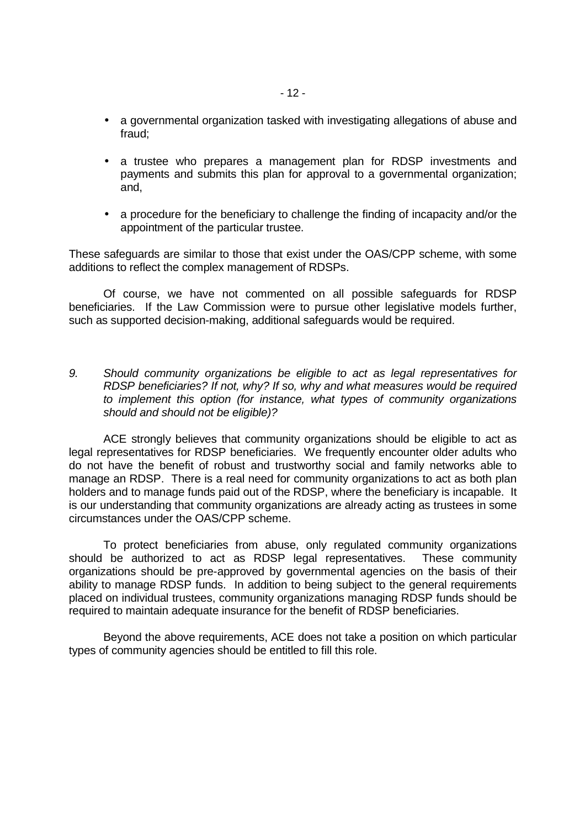- a governmental organization tasked with investigating allegations of abuse and fraud;
- a trustee who prepares a management plan for RDSP investments and payments and submits this plan for approval to a governmental organization; and,
- a procedure for the beneficiary to challenge the finding of incapacity and/or the appointment of the particular trustee.

These safeguards are similar to those that exist under the OAS/CPP scheme, with some additions to reflect the complex management of RDSPs.

 Of course, we have not commented on all possible safeguards for RDSP beneficiaries. If the Law Commission were to pursue other legislative models further, such as supported decision-making, additional safeguards would be required.

9. Should community organizations be eligible to act as legal representatives for RDSP beneficiaries? If not, why? If so, why and what measures would be required to implement this option (for instance, what types of community organizations should and should not be eligible)?

ACE strongly believes that community organizations should be eligible to act as legal representatives for RDSP beneficiaries. We frequently encounter older adults who do not have the benefit of robust and trustworthy social and family networks able to manage an RDSP. There is a real need for community organizations to act as both plan holders and to manage funds paid out of the RDSP, where the beneficiary is incapable. It is our understanding that community organizations are already acting as trustees in some circumstances under the OAS/CPP scheme.

 To protect beneficiaries from abuse, only regulated community organizations should be authorized to act as RDSP legal representatives. These community organizations should be pre-approved by governmental agencies on the basis of their ability to manage RDSP funds. In addition to being subject to the general requirements placed on individual trustees, community organizations managing RDSP funds should be required to maintain adequate insurance for the benefit of RDSP beneficiaries.

 Beyond the above requirements, ACE does not take a position on which particular types of community agencies should be entitled to fill this role.